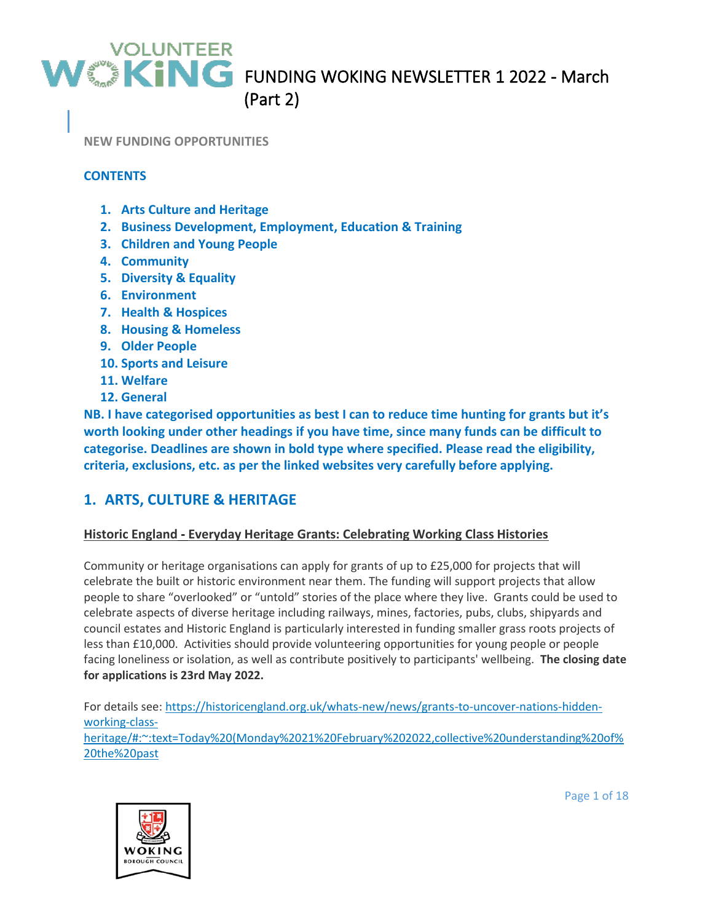**NEW FUNDING OPPORTUNITIES**

#### **CONTENTS**

- **1. Arts Culture and Heritage**
- **2. Business Development, Employment, Education & Training**
- **3. Children and Young People**
- **4. Community**
- **5. Diversity & Equality**
- **6. Environment**
- **7. Health & Hospices**
- **8. Housing & Homeless**
- **9. Older People**
- **10. Sports and Leisure**
- **11. Welfare**
- **12. General**

**NB. I have categorised opportunities as best I can to reduce time hunting for grants but it's worth looking under other headings if you have time, since many funds can be difficult to categorise. Deadlines are shown in bold type where specified. Please read the eligibility, criteria, exclusions, etc. as per the linked websites very carefully before applying.**

### **1. ARTS, CULTURE & HERITAGE**

#### **Historic England - Everyday Heritage Grants: Celebrating Working Class Histories**

Community or heritage organisations can apply for grants of up to £25,000 for projects that will celebrate the built or historic environment near them. The funding will support projects that allow people to share "overlooked" or "untold" stories of the place where they live. Grants could be used to celebrate aspects of diverse heritage including railways, mines, factories, pubs, clubs, shipyards and council estates and Historic England is particularly interested in funding smaller grass roots projects of less than £10,000. Activities should provide volunteering opportunities for young people or people facing loneliness or isolation, as well as contribute positively to participants' wellbeing. **The closing date for applications is 23rd May 2022.**

For details see: [https://historicengland.org.uk/whats-new/news/grants-to-uncover-nations-hidden](https://historicengland.org.uk/whats-new/news/grants-to-uncover-nations-hidden-working-class-heritage/#:~:text=Today%20(Monday%2021%20February%202022,collective%20understanding%20of%20the%20past)[working-class](https://historicengland.org.uk/whats-new/news/grants-to-uncover-nations-hidden-working-class-heritage/#:~:text=Today%20(Monday%2021%20February%202022,collective%20understanding%20of%20the%20past)[heritage/#:~:text=Today%20\(Monday%2021%20February%202022,collective%20understanding%20of%](https://historicengland.org.uk/whats-new/news/grants-to-uncover-nations-hidden-working-class-heritage/#:~:text=Today%20(Monday%2021%20February%202022,collective%20understanding%20of%20the%20past) [20the%20past](https://historicengland.org.uk/whats-new/news/grants-to-uncover-nations-hidden-working-class-heritage/#:~:text=Today%20(Monday%2021%20February%202022,collective%20understanding%20of%20the%20past)



Page 1 of 18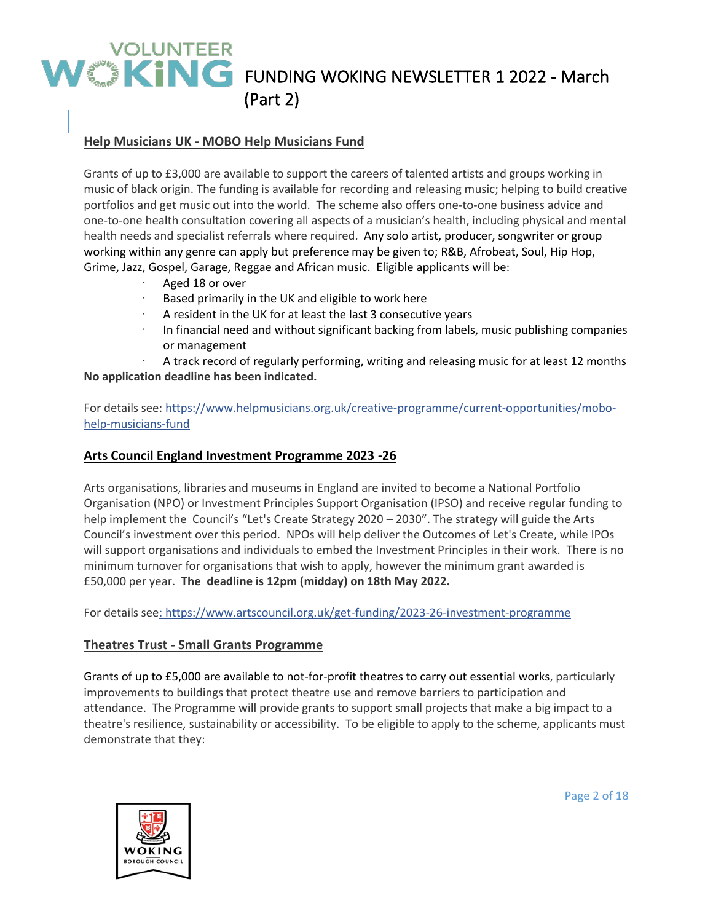### **Help Musicians UK - MOBO Help Musicians Fund**

Grants of up to £3,000 are available to support the careers of talented artists and groups working in music of black origin. The funding is available for recording and releasing music; helping to build creative portfolios and get music out into the world. The scheme also offers one-to-one business advice and one-to-one health consultation covering all aspects of a musician's health, including physical and mental health needs and specialist referrals where required. Any solo artist, producer, songwriter or group working within any genre can apply but preference may be given to; R&B, Afrobeat, Soul, Hip Hop, Grime, Jazz, Gospel, Garage, Reggae and African music. Eligible applicants will be:

- Aged 18 or over
- Based primarily in the UK and eligible to work here
- A resident in the UK for at least the last 3 consecutive years
- · In financial need and without significant backing from labels, music publishing companies or management

A track record of regularly performing, writing and releasing music for at least 12 months **No application deadline has been indicated.**

For details see: [https://www.helpmusicians.org.uk/creative-programme/current-opportunities/mobo](https://www.helpmusicians.org.uk/creative-programme/current-opportunities/mobo-help-musicians-fund)[help-musicians-fund](https://www.helpmusicians.org.uk/creative-programme/current-opportunities/mobo-help-musicians-fund)

#### **Arts Council England Investment Programme 2023 -26**

Arts organisations, libraries and museums in England are invited to become a National Portfolio Organisation (NPO) or Investment Principles Support Organisation (IPSO) and receive regular funding to help implement the Council's "Let's Create Strategy 2020 - 2030". The strategy will guide the Arts Council's investment over this period. NPOs will help deliver the Outcomes of Let's Create, while IPOs will support organisations and individuals to embed the Investment Principles in their work. There is no minimum turnover for organisations that wish to apply, however the minimum grant awarded is £50,000 per year. **The deadline is 12pm (midday) on 18th May 2022.**

For details see:<https://www.artscouncil.org.uk/get-funding/2023-26-investment-programme>

#### **Theatres Trust - Small Grants Programme**

Grants of up to £5,000 are available to not-for-profit theatres to carry out essential works, particularly improvements to buildings that protect theatre use and remove barriers to participation and attendance. The Programme will provide grants to support small projects that make a big impact to a theatre's resilience, sustainability or accessibility. To be eligible to apply to the scheme, applicants must demonstrate that they:



Page 2 of 18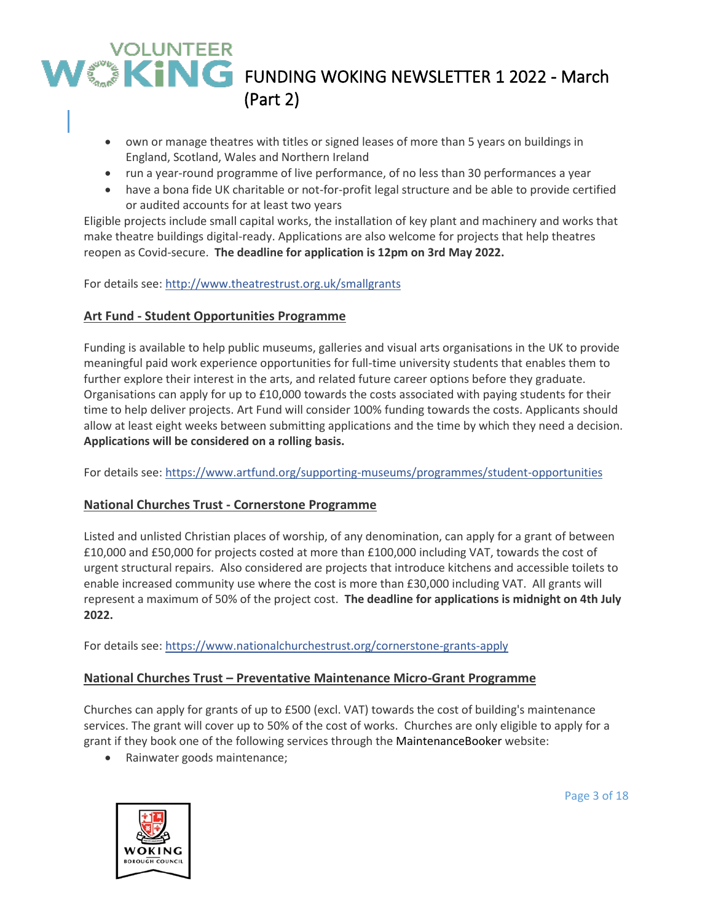- own or manage theatres with titles or signed leases of more than 5 years on buildings in England, Scotland, Wales and Northern Ireland
- run a year-round programme of live performance, of no less than 30 performances a year
- have a bona fide UK charitable or not-for-profit legal structure and be able to provide certified or audited accounts for at least two years

Eligible projects include small capital works, the installation of key plant and machinery and works that make theatre buildings digital-ready. Applications are also welcome for projects that help theatres reopen as Covid-secure. **The deadline for application is 12pm on 3rd May 2022.**

For details see:<http://www.theatrestrust.org.uk/smallgrants>

### **Art Fund - Student Opportunities Programme**

Funding is available to help public museums, galleries and visual arts organisations in the UK to provide meaningful paid work experience opportunities for full-time university students that enables them to further explore their interest in the arts, and related future career options before they graduate. Organisations can apply for up to £10,000 towards the costs associated with paying students for their time to help deliver projects. Art Fund will consider 100% funding towards the costs. Applicants should allow at least eight weeks between submitting applications and the time by which they need a decision. **Applications will be considered on a rolling basis.**

For details see:<https://www.artfund.org/supporting-museums/programmes/student-opportunities>

### **National Churches Trust - Cornerstone Programme**

Listed and unlisted Christian places of worship, of any denomination, can apply for a grant of between £10,000 and £50,000 for projects costed at more than £100,000 including VAT, towards the cost of urgent structural repairs. Also considered are projects that introduce kitchens and accessible toilets to enable increased community use where the cost is more than £30,000 including VAT. All grants will represent a maximum of 50% of the project cost. **The deadline for applications is midnight on 4th July 2022.**

For details see:<https://www.nationalchurchestrust.org/cornerstone-grants-apply>

### **National Churches Trust – Preventative Maintenance Micro-Grant Programme**

Churches can apply for grants of up to £500 (excl. VAT) towards the cost of building's maintenance services. The grant will cover up to 50% of the cost of works. Churches are only eligible to apply for a grant if they book one of the following services through the [MaintenanceBooker](https://www.maintenancebooker.org.uk/) website:

• Rainwater goods maintenance;



Page 3 of 18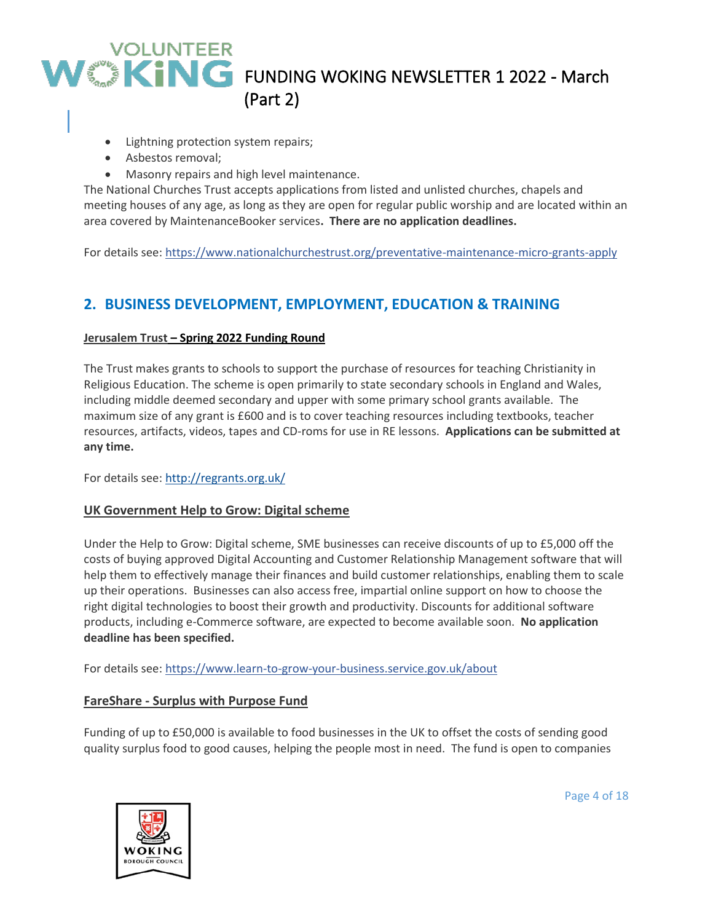- Lightning protection system repairs;
- Asbestos removal;
- Masonry repairs and high level maintenance.

The National Churches Trust accepts applications from listed and unlisted churches, chapels and meeting houses of any age, as long as they are open for regular public worship and are located within an area covered by MaintenanceBooker services**. There are no application deadlines.**

For details see:<https://www.nationalchurchestrust.org/preventative-maintenance-micro-grants-apply>

## **2. BUSINESS DEVELOPMENT, EMPLOYMENT, EDUCATION & TRAINING**

#### **Jerusalem Trust – Spring 2022 Funding Round**

The Trust makes grants to schools to support the purchase of resources for teaching Christianity in Religious Education. The scheme is open primarily to state secondary schools in England and Wales, including middle deemed secondary and upper with some primary school grants available. The maximum size of any grant is £600 and is to cover teaching resources including textbooks, teacher resources, artifacts, videos, tapes and CD-roms for use in RE lessons. **Applications can be submitted at any time.**

For details see:<http://regrants.org.uk/>

#### **UK Government Help to Grow: Digital scheme**

Under the Help to Grow: Digital scheme, SME businesses can receive discounts of up to £5,000 off the costs of buying approved Digital Accounting and Customer Relationship Management software that will help them to effectively manage their finances and build customer relationships, enabling them to scale up their operations. Businesses can also access free, impartial online support on how to choose the right digital technologies to boost their growth and productivity. Discounts for additional software products, including e-Commerce software, are expected to become available soon. **No application deadline has been specified.**

For details see:<https://www.learn-to-grow-your-business.service.gov.uk/about>

#### **FareShare - Surplus with Purpose Fund**

Funding of up to £50,000 is available to food businesses in the UK to offset the costs of sending good quality surplus food to good causes, helping the people most in need. The fund is open to companies



Page 4 of 18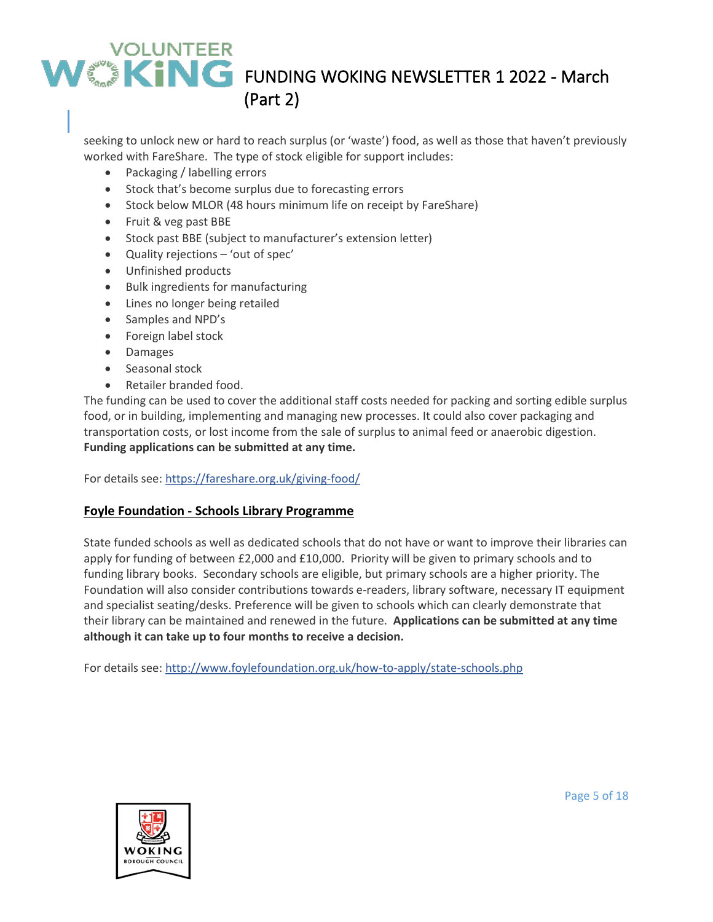seeking to unlock new or hard to reach surplus (or 'waste') food, as well as those that haven't previously worked with FareShare. The type of stock eligible for support includes:

- Packaging / labelling errors
- Stock that's become surplus due to forecasting errors
- Stock below MLOR (48 hours minimum life on receipt by FareShare)
- Fruit & veg past BBE
- Stock past BBE (subject to manufacturer's extension letter)
- Quality rejections 'out of spec'
- Unfinished products
- Bulk ingredients for manufacturing
- Lines no longer being retailed
- Samples and NPD's
- Foreign label stock
- Damages
- Seasonal stock
- Retailer branded food.

The funding can be used to cover the additional staff costs needed for packing and sorting edible surplus food, or in building, implementing and managing new processes. It could also cover packaging and transportation costs, or lost income from the sale of surplus to animal feed or anaerobic digestion. **Funding applications can be submitted at any time.**

For details see:<https://fareshare.org.uk/giving-food/>

#### **Foyle Foundation - Schools Library Programme**

State funded schools as well as dedicated schools that do not have or want to improve their libraries can apply for funding of between £2,000 and £10,000. Priority will be given to primary schools and to funding library books. Secondary schools are eligible, but primary schools are a higher priority. The Foundation will also consider contributions towards e-readers, library software, necessary IT equipment and specialist seating/desks. Preference will be given to schools which can clearly demonstrate that their library can be maintained and renewed in the future. **Applications can be submitted at any time although it can take up to four months to receive a decision.**

For details see:<http://www.foylefoundation.org.uk/how-to-apply/state-schools.php>



Page 5 of 18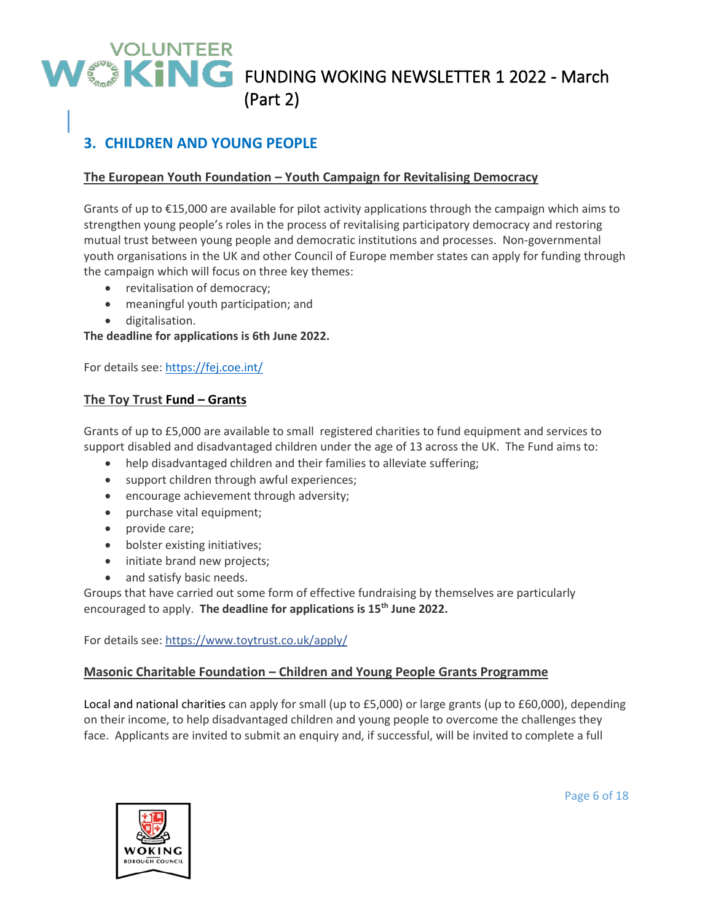## **3. CHILDREN AND YOUNG PEOPLE**

### **The European Youth Foundation – Youth Campaign for Revitalising Democracy**

Grants of up to €15,000 are available for pilot activity applications through the campaign which aims to strengthen young people's roles in the process of revitalising participatory democracy and restoring mutual trust between young people and democratic institutions and processes. Non-governmental youth organisations in the UK and other Council of Europe member states can apply for funding through the campaign which will focus on three key themes:

- revitalisation of democracy;
- meaningful youth participation; and
- digitalisation.

**The deadline for applications is 6th June 2022.**

For details see:<https://fej.coe.int/>

#### **The Toy Trust Fund – Grants**

Grants of up to £5,000 are available to small registered charities to fund equipment and services to support disabled and disadvantaged children under the age of 13 across the UK. The Fund aims to:

- help disadvantaged children and their families to alleviate suffering;
- support children through awful experiences;
- encourage achievement through adversity;
- purchase vital equipment;
- provide care;
- bolster existing initiatives;
- initiate brand new projects;
- and satisfy basic needs.

Groups that have carried out some form of effective fundraising by themselves are particularly encouraged to apply. **The deadline for applications is 15th June 2022.**

For details see:<https://www.toytrust.co.uk/apply/>

#### **Masonic Charitable Foundation – Children and Young People Grants Programme**

Local and national charities can apply for small (up to £5,000) or large grants (up to £60,000), depending on their income, to help disadvantaged children and young people to overcome the challenges they face. Applicants are invited to submit an enquiry and, if successful, will be invited to complete a full



Page 6 of 18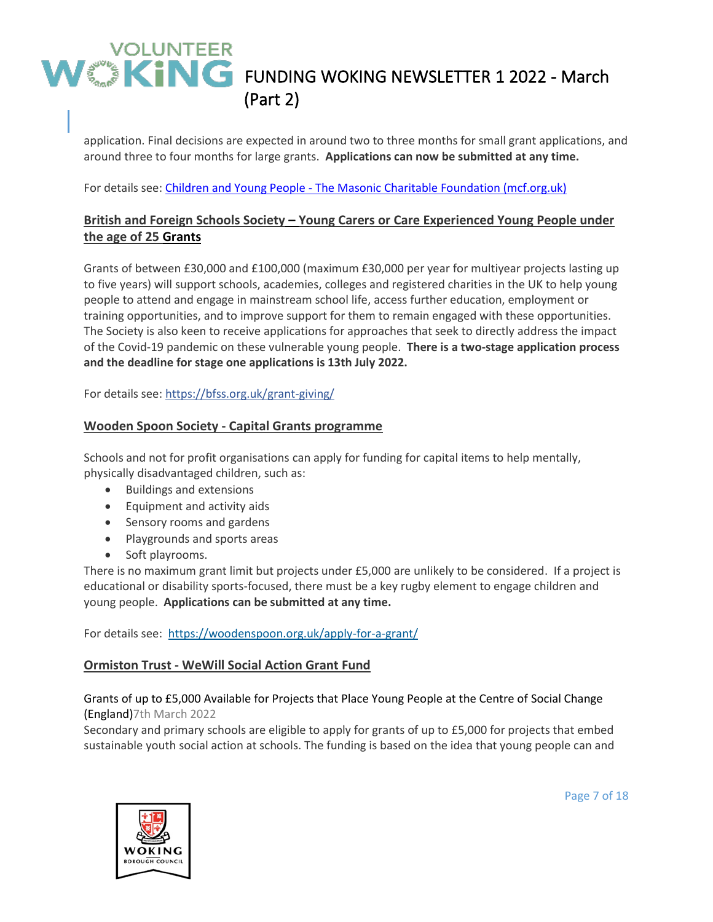application. Final decisions are expected in around two to three months for small grant applications, and around three to four months for large grants. **Applications can now be submitted at any time.**

For details see: Children and Young People - [The Masonic Charitable Foundation \(mcf.org.uk\)](https://mcf.org.uk/get-support/grants-to-charities/children-and-young-people/)

### **British and Foreign Schools Society – Young Carers or Care Experienced Young People under the age of 25 Grants**

Grants of between £30,000 and £100,000 (maximum £30,000 per year for multiyear projects lasting up to five years) will support schools, academies, colleges and registered charities in the UK to help young people to attend and engage in mainstream school life, access further education, employment or training opportunities, and to improve support for them to remain engaged with these opportunities. The Society is also keen to receive applications for approaches that seek to directly address the impact of the Covid-19 pandemic on these vulnerable young people. **There is a two-stage application process and the deadline for stage one applications is 13th July 2022.**

For details see:<https://bfss.org.uk/grant-giving/>

#### **Wooden Spoon Society - Capital Grants programme**

Schools and not for profit organisations can apply for funding for capital items to help mentally, physically disadvantaged children, such as:

- Buildings and extensions
- Equipment and activity aids
- Sensory rooms and gardens
- Playgrounds and sports areas
- Soft playrooms.

There is no maximum grant limit but projects under £5,000 are unlikely to be considered. If a project is educational or disability sports-focused, there must be a key rugby element to engage children and young people. **Applications can be submitted at any time.**

For details see:<https://woodenspoon.org.uk/apply-for-a-grant/>

#### **Ormiston Trust - WeWill Social Action Grant Fund**

#### Grants of up to £5,000 Available for Projects that Place Young People at the Centre of Social Change (England)7th March 2022

Secondary and primary schools are eligible to apply for grants of up to £5,000 for projects that embed sustainable youth social action at schools. The funding is based on the idea that young people can and



Page 7 of 18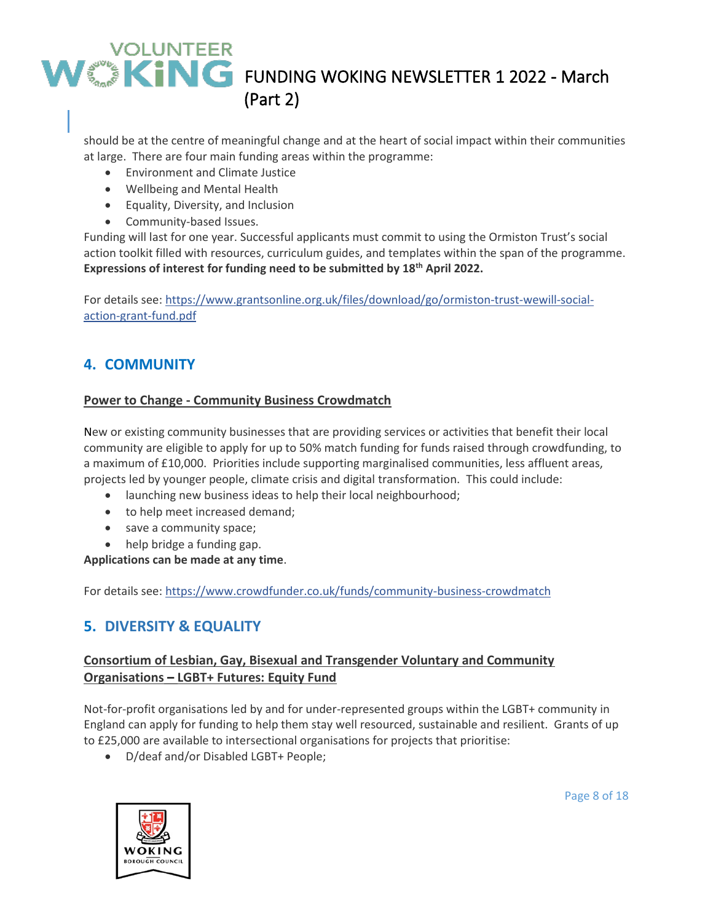should be at the centre of meaningful change and at the heart of social impact within their communities at large. There are four main funding areas within the programme:

- Environment and Climate Justice
- Wellbeing and Mental Health
- Equality, Diversity, and Inclusion
- Community-based Issues.

Funding will last for one year. Successful applicants must commit to using the Ormiston Trust's social action toolkit filled with resources, curriculum guides, and templates within the span of the programme. **Expressions of interest for funding need to be submitted by 18th April 2022.**

For details see: [https://www.grantsonline.org.uk/files/download/go/ormiston-trust-wewill-social](https://www.grantsonline.org.uk/files/download/go/ormiston-trust-wewill-social-action-grant-fund.pdf)[action-grant-fund.pdf](https://www.grantsonline.org.uk/files/download/go/ormiston-trust-wewill-social-action-grant-fund.pdf)

## **4. COMMUNITY**

#### **Power to Change - Community Business Crowdmatch**

New or existing community businesses that are providing services or activities that benefit their local community are eligible to apply for up to 50% match funding for funds raised through crowdfunding, to a maximum of £10,000. Priorities include supporting marginalised communities, less affluent areas, projects led by younger people, climate crisis and digital transformation. This could include:

- launching new business ideas to help their local neighbourhood;
- to help meet increased demand;
- save a community space;
- help bridge a funding gap.

**Applications can be made at any time**.

For details see:<https://www.crowdfunder.co.uk/funds/community-business-crowdmatch>

## **5. DIVERSITY & EQUALITY**

### **Consortium of Lesbian, Gay, Bisexual and Transgender Voluntary and Community Organisations – LGBT+ Futures: Equity Fund**

Not-for-profit organisations led by and for under-represented groups within the LGBT+ community in England can apply for funding to help them stay well resourced, sustainable and resilient. Grants of up to £25,000 are available to intersectional organisations for projects that prioritise:

• D/deaf and/or Disabled LGBT+ People;



Page 8 of 18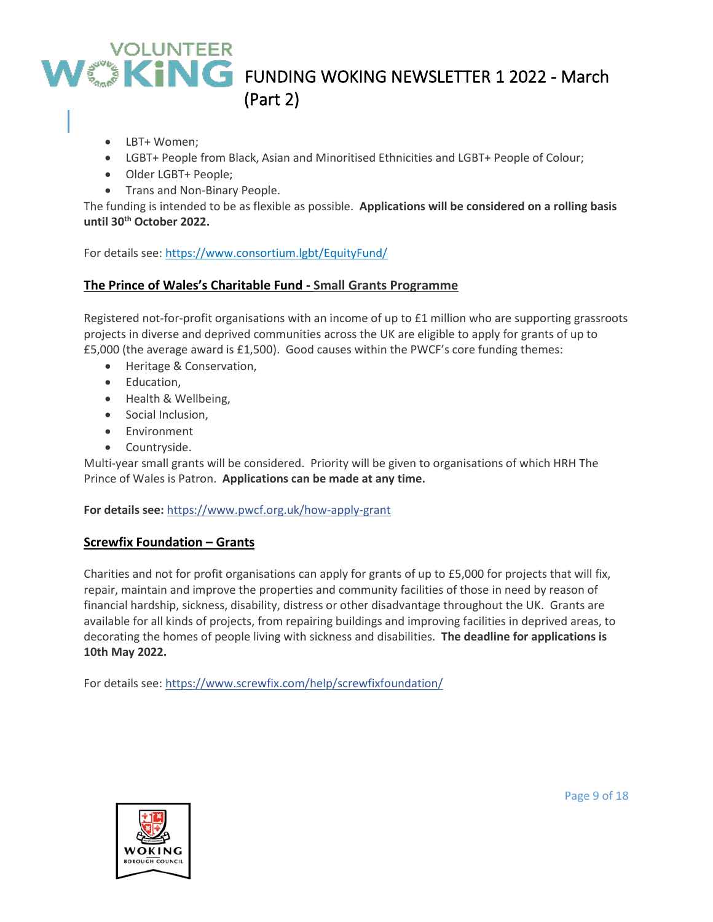- LBT+ Women;
- LGBT+ People from Black, Asian and Minoritised Ethnicities and LGBT+ People of Colour;
- Older LGBT+ People;
- Trans and Non-Binary People.

The funding is intended to be as flexible as possible. **Applications will be considered on a rolling basis until 30th October 2022.**

For details see:<https://www.consortium.lgbt/EquityFund/>

#### **The Prince of Wales's Charitable Fund - Small Grants Programme**

Registered not-for-profit organisations with an income of up to £1 million who are supporting grassroots projects in diverse and deprived communities across the UK are eligible to apply for grants of up to £5,000 (the average award is £1,500). Good causes within the PWCF's core funding themes:

- Heritage & Conservation,
- Education,
- Health & Wellbeing,
- Social Inclusion,
- Environment
- Countryside.

Multi-year small grants will be considered. Priority will be given to organisations of which HRH The Prince of Wales is Patron. **Applications can be made at any time.**

#### **For details see:** <https://www.pwcf.org.uk/how-apply-grant>

#### **Screwfix Foundation – Grants**

Charities and not for profit organisations can apply for grants of up to £5,000 for projects that will fix, repair, maintain and improve the properties and community facilities of those in need by reason of financial hardship, sickness, disability, distress or other disadvantage throughout the UK. Grants are available for all kinds of projects, from repairing buildings and improving facilities in deprived areas, to decorating the homes of people living with sickness and disabilities. **The deadline for applications is 10th May 2022.**

For details see:<https://www.screwfix.com/help/screwfixfoundation/>

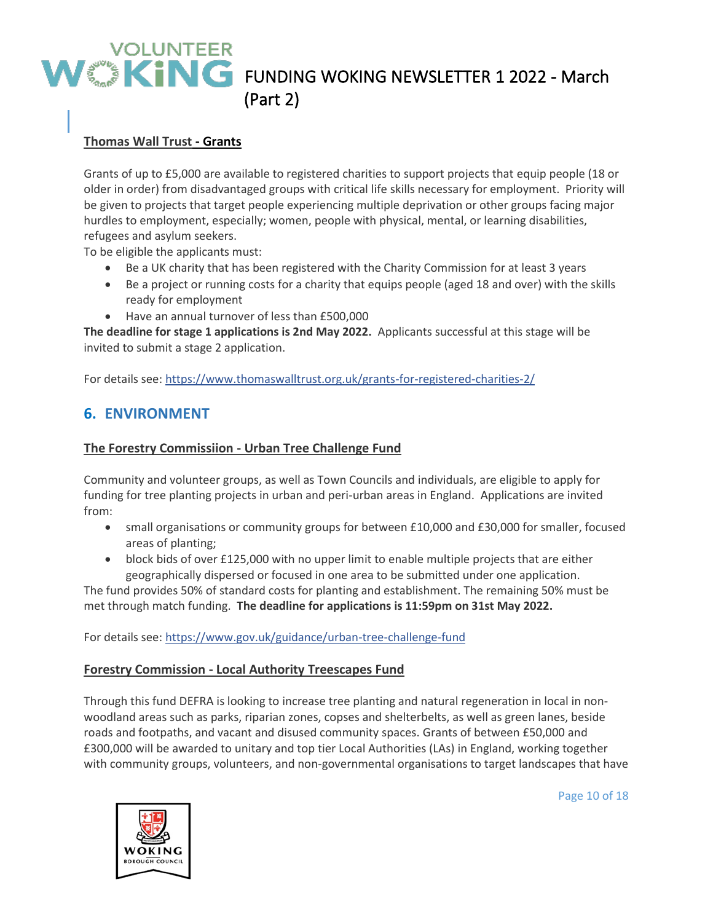### **Thomas Wall Trust - Grants**

Grants of up to £5,000 are available to registered charities to support projects that equip people (18 or older in order) from disadvantaged groups with critical life skills necessary for employment. Priority will be given to projects that target people experiencing multiple deprivation or other groups facing major hurdles to employment, especially; women, people with physical, mental, or learning disabilities, refugees and asylum seekers.

To be eligible the applicants must:

- Be a UK charity that has been registered with the Charity Commission for at least 3 years
- Be a project or running costs for a charity that equips people (aged 18 and over) with the skills ready for employment
- Have an annual turnover of less than £500,000

**The deadline for stage 1 applications is 2nd May 2022.** Applicants successful at this stage will be invited to submit a stage 2 application.

For details see:<https://www.thomaswalltrust.org.uk/grants-for-registered-charities-2/>

## **6. ENVIRONMENT**

#### **The Forestry Commissiion - Urban Tree Challenge Fund**

Community and volunteer groups, as well as Town Councils and individuals, are eligible to apply for funding for tree planting projects in urban and peri-urban areas in England. Applications are invited from:

- small organisations or community groups for between £10,000 and £30,000 for smaller, focused areas of planting;
- block bids of over £125,000 with no upper limit to enable multiple projects that are either geographically dispersed or focused in one area to be submitted under one application.

The fund provides 50% of standard costs for planting and establishment. The remaining 50% must be met through match funding. **The deadline for applications is 11:59pm on 31st May 2022.**

For details see:<https://www.gov.uk/guidance/urban-tree-challenge-fund>

#### **Forestry Commission - Local Authority Treescapes Fund**

Through this fund DEFRA is looking to increase tree planting and natural regeneration in local in nonwoodland areas such as parks, riparian zones, copses and shelterbelts, as well as green lanes, beside roads and footpaths, and vacant and disused community spaces. Grants of between £50,000 and £300,000 will be awarded to unitary and top tier Local Authorities (LAs) in England, working together with community groups, volunteers, and non-governmental organisations to target landscapes that have



Page 10 of 18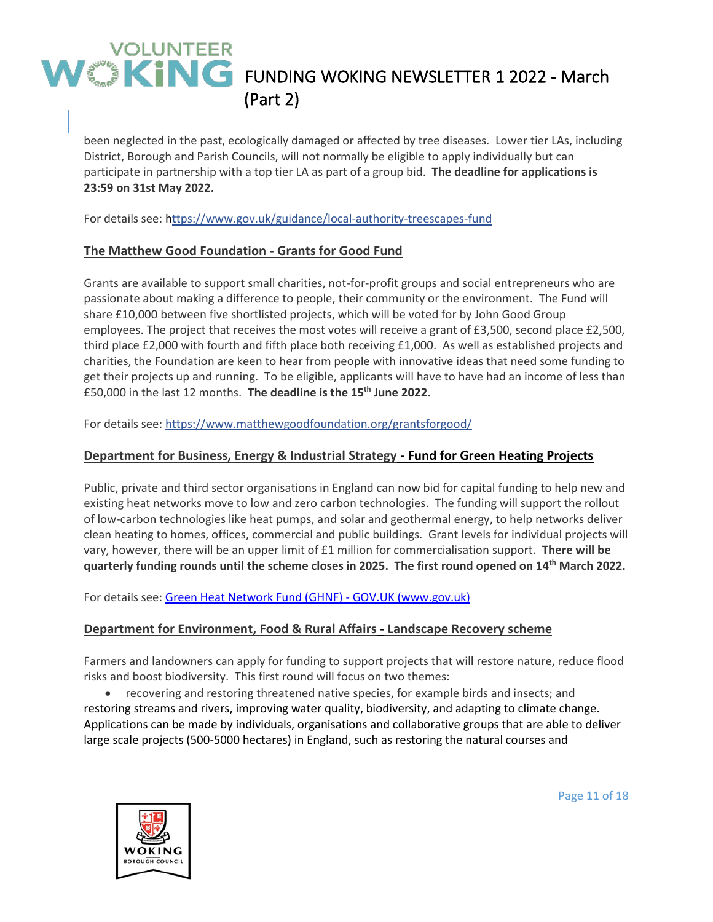been neglected in the past, ecologically damaged or affected by tree diseases. Lower tier LAs, including District, Borough and Parish Councils, will not normally be eligible to apply individually but can participate in partnership with a top tier LA as part of a group bid. **The deadline for applications is 23:59 on 31st May 2022.**

For details see: <https://www.gov.uk/guidance/local-authority-treescapes-fund>

#### **The Matthew Good Foundation - Grants for Good Fund**

Grants are available to support small charities, not-for-profit groups and social entrepreneurs who are passionate about making a difference to people, their community or the environment. The Fund will share £10,000 between five shortlisted projects, which will be voted for by John Good Group employees. The project that receives the most votes will receive a grant of £3,500, second place £2,500, third place £2,000 with fourth and fifth place both receiving £1,000. As well as established projects and charities, the Foundation are keen to hear from people with innovative ideas that need some funding to get their projects up and running. To be eligible, applicants will have to have had an income of less than £50,000 in the last 12 months. **The deadline is the 15th June 2022.**

For details see:<https://www.matthewgoodfoundation.org/grantsforgood/>

#### **Department for Business, Energy & Industrial Strategy - Fund for Green Heating Projects**

Public, private and third sector organisations in England can now bid for capital funding to help new and existing heat networks move to low and zero carbon technologies. The funding will support the rollout of low-carbon technologies like heat pumps, and solar and geothermal energy, to help networks deliver clean heating to homes, offices, commercial and public buildings. Grant levels for individual projects will vary, however, there will be an upper limit of £1 million for commercialisation support. **There will be quarterly funding rounds until the scheme closes in 2025. The first round opened on 14th March 2022.**

For details see: [Green Heat Network Fund \(GHNF\) -](https://www.gov.uk/government/publications/green-heat-network-fund-ghnf) GOV.UK (www.gov.uk)

#### **Department for Environment, Food & Rural Affairs - Landscape Recovery scheme**

Farmers and landowners can apply for funding to support projects that will restore nature, reduce flood risks and boost biodiversity. This first round will focus on two themes:

• recovering and restoring threatened native species, for example birds and insects; and restoring streams and rivers, improving water quality, biodiversity, and adapting to climate change. Applications can be made by individuals, organisations and collaborative groups that are able to deliver large scale projects (500-5000 hectares) in England, such as restoring the natural courses and



Page 11 of 18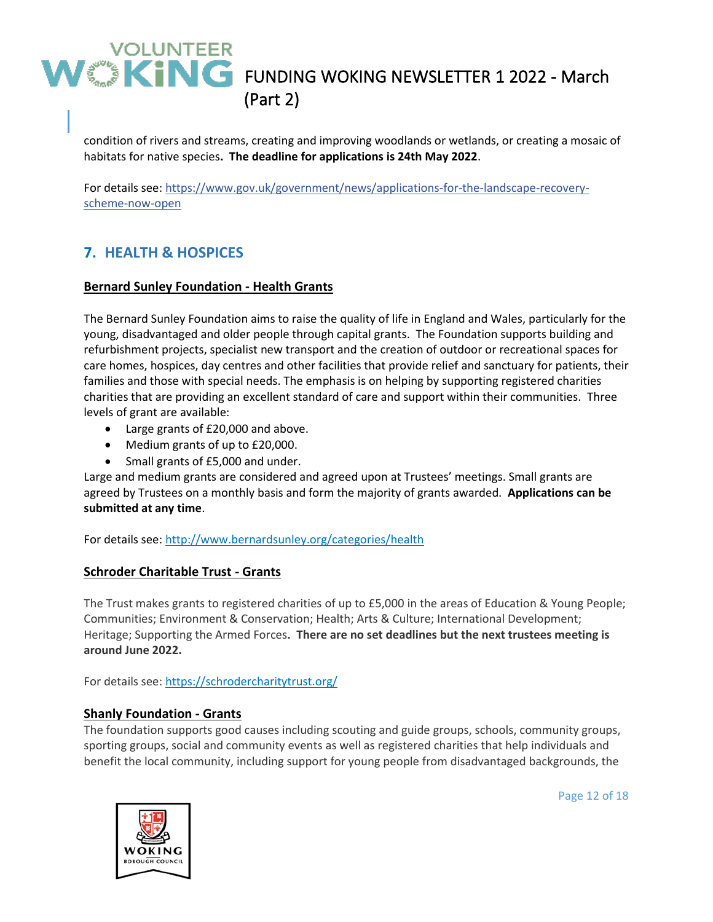condition of rivers and streams, creating and improving woodlands or wetlands, or creating a mosaic of habitats for native species**. The deadline for applications is 24th May 2022**. 

For details see: [https://www.gov.uk/government/news/applications-for-the-landscape-recovery](https://www.gov.uk/government/news/applications-for-the-landscape-recovery-scheme-now-open)[scheme-now-open](https://www.gov.uk/government/news/applications-for-the-landscape-recovery-scheme-now-open)

## **7. HEALTH & HOSPICES**

#### **Bernard Sunley Foundation - Health Grants**

The Bernard Sunley Foundation aims to raise the quality of life in England and Wales, particularly for the young, disadvantaged and older people through capital grants. The Foundation supports building and refurbishment projects, specialist new transport and the creation of outdoor or recreational spaces for care homes, hospices, day centres and other facilities that provide relief and sanctuary for patients, their families and those with special needs. The emphasis is on helping by supporting registered charities charities that are providing an excellent standard of care and support within their communities. Three levels of grant are available:

- Large grants of £20,000 and above.
- Medium grants of up to £20,000.
- Small grants of £5,000 and under.

Large and medium grants are considered and agreed upon at Trustees' meetings. Small grants are agreed by Trustees on a monthly basis and form the majority of grants awarded. **Applications can be submitted at any time**.

For details see: <http://www.bernardsunley.org/categories/health>

### **Schroder Charitable Trust - Grants**

The Trust makes grants to registered charities of up to £5,000 in the areas of Education & Young People; Communities; Environment & Conservation; Health; Arts & Culture; International Development; Heritage; Supporting the Armed Forces**. There are no set deadlines but the next trustees meeting is around June 2022.**

For details see:<https://schrodercharitytrust.org/>

### **Shanly Foundation - Grants**

The foundation supports good causes including scouting and guide groups, schools, community groups, sporting groups, social and community events as well as registered charities that help individuals and benefit the local community, including support for young people from disadvantaged backgrounds, the



Page 12 of 18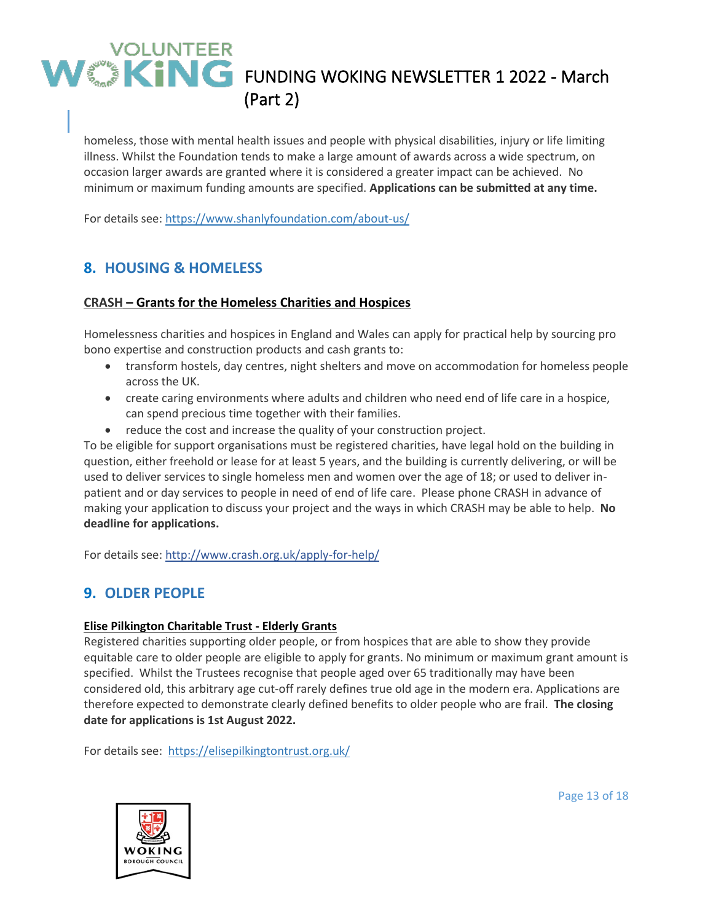homeless, those with mental health issues and people with physical disabilities, injury or life limiting illness. Whilst the Foundation tends to make a large amount of awards across a wide spectrum, on occasion larger awards are granted where it is considered a greater impact can be achieved. No minimum or maximum funding amounts are specified. **Applications can be submitted at any time.**

For details see: <https://www.shanlyfoundation.com/about-us/>

## **8. HOUSING & HOMELESS**

#### **CRASH – Grants for the Homeless Charities and Hospices**

Homelessness charities and hospices in England and Wales can apply for practical help by sourcing pro bono expertise and construction products and cash grants to:

- transform hostels, day centres, night shelters and move on accommodation for homeless people across the UK.
- create caring environments where adults and children who need end of life care in a hospice, can spend precious time together with their families.
- reduce the cost and increase the quality of your construction project.

To be eligible for support organisations must be registered charities, have legal hold on the building in question, either freehold or lease for at least 5 years, and the building is currently delivering, or will be used to deliver services to single homeless men and women over the age of 18; or used to deliver inpatient and or day services to people in need of end of life care. Please phone CRASH in advance of making your application to discuss your project and the ways in which CRASH may be able to help. **No deadline for applications.**

For details see:<http://www.crash.org.uk/apply-for-help/>

### **9. OLDER PEOPLE**

#### **Elise Pilkington Charitable Trust - Elderly Grants**

Registered charities supporting older people, or from hospices that are able to show they provide equitable care to older people are eligible to apply for grants. No minimum or maximum grant amount is specified. Whilst the Trustees recognise that people aged over 65 traditionally may have been considered old, this arbitrary age cut-off rarely defines true old age in the modern era. Applications are therefore expected to demonstrate clearly defined benefits to older people who are frail. **The closing date for applications is 1st August 2022.**

For details see:<https://elisepilkingtontrust.org.uk/>



Page 13 of 18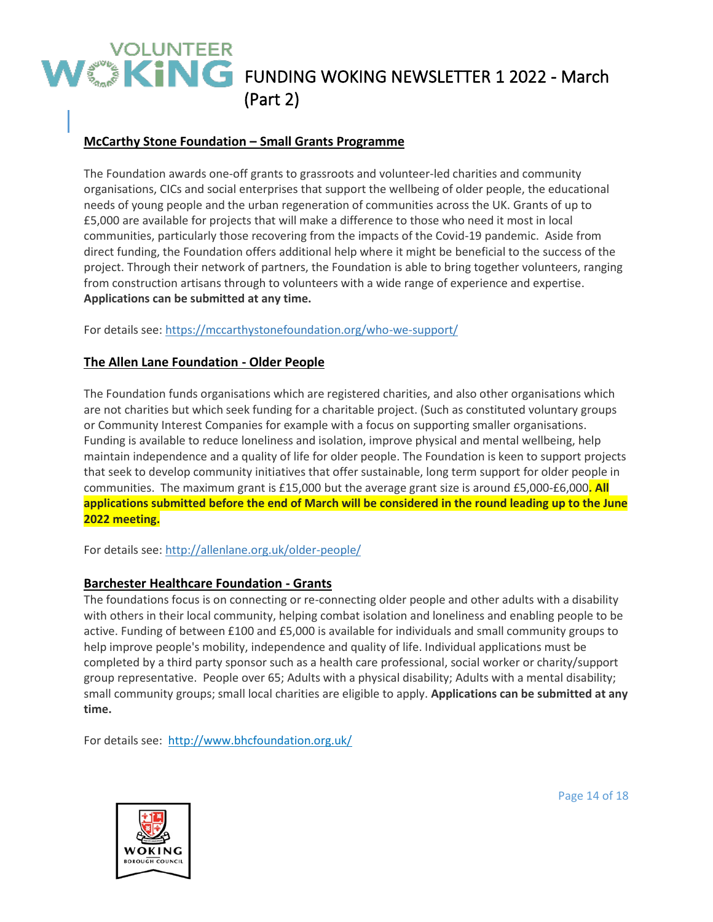### **McCarthy Stone Foundation – Small Grants Programme**

The Foundation awards one-off grants to grassroots and volunteer-led charities and community organisations, CICs and social enterprises that support the wellbeing of older people, the educational needs of young people and the urban regeneration of communities across the UK. Grants of up to £5,000 are available for projects that will make a difference to those who need it most in local communities, particularly those recovering from the impacts of the Covid-19 pandemic. Aside from direct funding, the Foundation offers additional help where it might be beneficial to the success of the project. Through their network of partners, the Foundation is able to bring together volunteers, ranging from construction artisans through to volunteers with a wide range of experience and expertise. **Applications can be submitted at any time.**

For details see:<https://mccarthystonefoundation.org/who-we-support/>

#### **The Allen Lane Foundation - Older People**

The Foundation funds organisations which are registered charities, and also other organisations which are not charities but which seek funding for a charitable project. (Such as constituted voluntary groups or Community Interest Companies for example with a focus on supporting smaller organisations. Funding is available to reduce loneliness and isolation, improve physical and mental wellbeing, help maintain independence and a quality of life for older people. The Foundation is keen to support projects that seek to develop community initiatives that offer sustainable, long term support for older people in communities. The maximum grant is £15,000 but the average grant size is around £5,000-£6,000**. All** applications submitted before the end of March will be considered in the round leading up to the June **2022 meeting.**

For details see: <http://allenlane.org.uk/older-people/>

#### **Barchester Healthcare Foundation - Grants**

The foundations focus is on connecting or re-connecting older people and other adults with a disability with others in their local community, helping combat isolation and loneliness and enabling people to be active. Funding of between £100 and £5,000 is available for individuals and small community groups to help improve people's mobility, independence and quality of life. Individual applications must be completed by a third party sponsor such as a health care professional, social worker or charity/support group representative. People over 65; Adults with a physical disability; Adults with a mental disability; small community groups; small local charities are eligible to apply. **Applications can be submitted at any time.**

For details see:<http://www.bhcfoundation.org.uk/>



Page 14 of 18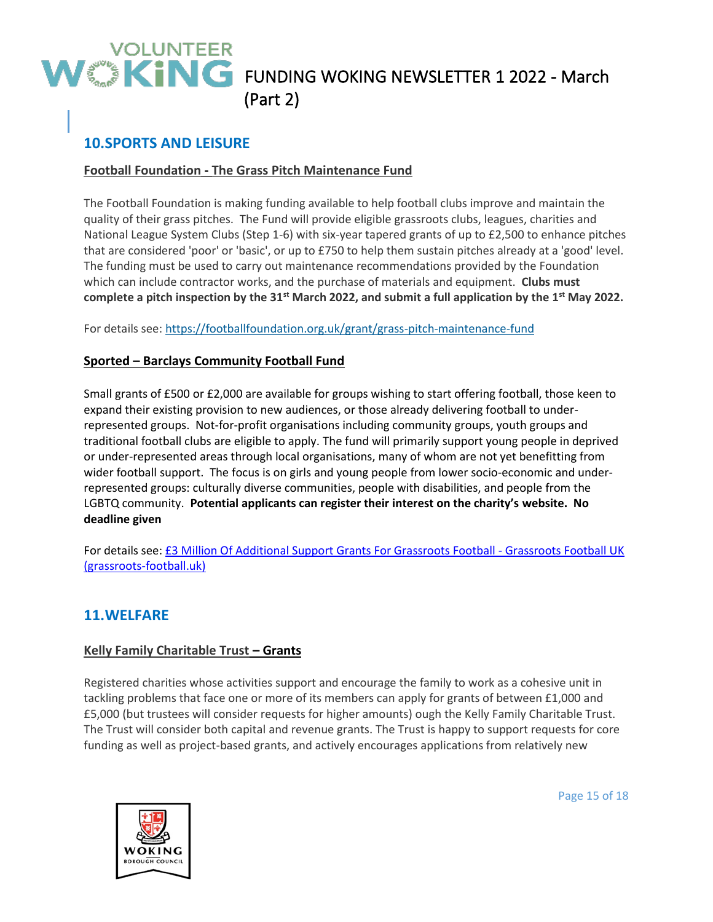## **10.SPORTS AND LEISURE**

### **Football Foundation - The Grass Pitch Maintenance Fund**

The Football Foundation is making funding available to help football clubs improve and maintain the quality of their grass pitches. The Fund will provide eligible grassroots clubs, leagues, charities and National League System Clubs (Step 1-6) with six-year tapered grants of up to £2,500 to enhance pitches that are considered 'poor' or 'basic', or up to £750 to help them sustain pitches already at a 'good' level. The funding must be used to carry out maintenance recommendations provided by the Foundation which can include contractor works, and the purchase of materials and equipment. **Clubs must complete a pitch inspection by the 31st March 2022, and submit a full application by the 1st May 2022.**

For details see:<https://footballfoundation.org.uk/grant/grass-pitch-maintenance-fund>

#### **Sported – Barclays Community Football Fund**

Small grants of £500 or £2,000 are available for groups wishing to start offering football, those keen to expand their existing provision to new audiences, or those already delivering football to underrepresented groups. Not-for-profit organisations including community groups, youth groups and traditional football clubs are eligible to apply. The fund will primarily support young people in deprived or under-represented areas through local organisations, many of whom are not yet benefitting from wider football support. The focus is on girls and young people from lower socio-economic and underrepresented groups: culturally diverse communities, people with disabilities, and people from the LGBTQ community. **Potential applicants can register their interest on the charity's website. No deadline given**

For details see: [£3 Million Of Additional Support Grants For Grassroots Football -](https://www.grassroots-football.uk/3-million-of-additional-support-grants-for-grassroots-football/) Grassroots Football UK [\(grassroots-football.uk\)](https://www.grassroots-football.uk/3-million-of-additional-support-grants-for-grassroots-football/)

### **11.WELFARE**

#### **Kelly Family Charitable Trust – Grants**

Registered charities whose activities support and encourage the family to work as a cohesive unit in tackling problems that face one or more of its members can apply for grants of between £1,000 and £5,000 (but trustees will consider requests for higher amounts) ough the Kelly Family Charitable Trust. The Trust will consider both capital and revenue grants. The Trust is happy to support requests for core funding as well as project-based grants, and actively encourages applications from relatively new



Page 15 of 18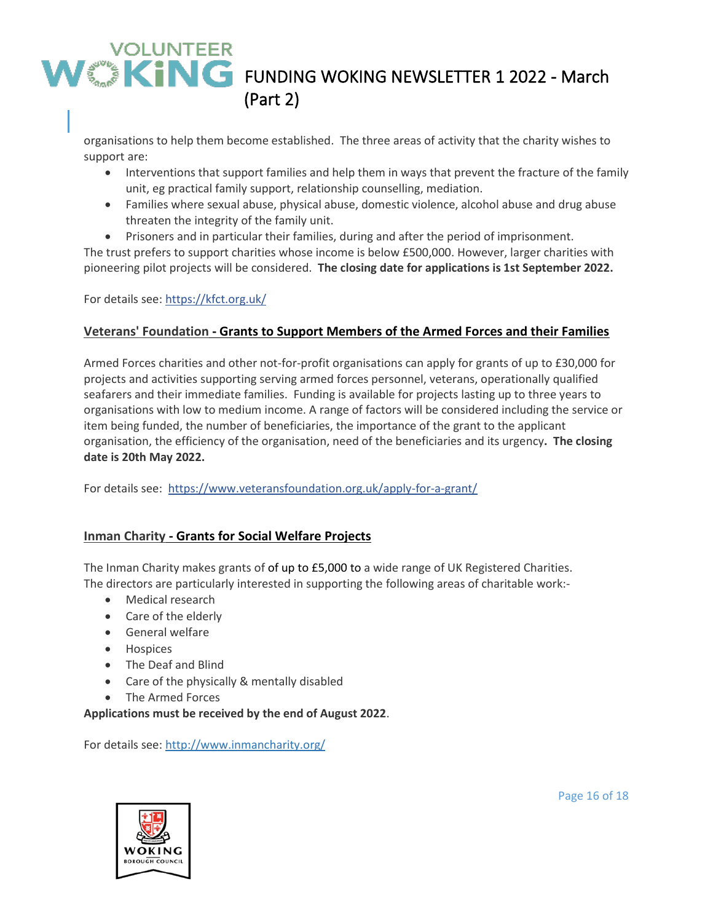organisations to help them become established. The three areas of activity that the charity wishes to support are:

- Interventions that support families and help them in ways that prevent the fracture of the family unit, eg practical family support, relationship counselling, mediation.
- Families where sexual abuse, physical abuse, domestic violence, alcohol abuse and drug abuse threaten the integrity of the family unit.
- Prisoners and in particular their families, during and after the period of imprisonment.

The trust prefers to support charities whose income is below £500,000. However, larger charities with pioneering pilot projects will be considered. **The closing date for applications is 1st September 2022.**

For details see:<https://kfct.org.uk/>

#### **Veterans' Foundation - Grants to Support Members of the Armed Forces and their Families**

Armed Forces charities and other not-for-profit organisations can apply for grants of up to £30,000 for projects and activities supporting serving armed forces personnel, veterans, operationally qualified seafarers and their immediate families. Funding is available for projects lasting up to three years to organisations with low to medium income. A range of factors will be considered including the service or item being funded, the number of beneficiaries, the importance of the grant to the applicant organisation, the efficiency of the organisation, need of the beneficiaries and its urgency**. The closing date is 20th May 2022.**

For details see:<https://www.veteransfoundation.org.uk/apply-for-a-grant/>

#### **Inman Charity - Grants for Social Welfare Projects**

The Inman Charity makes grants of of up to £5,000 to a wide range of UK Registered Charities. The directors are particularly interested in supporting the following areas of charitable work:-

- Medical research
- Care of the elderly
- General welfare
- Hospices
- The Deaf and Blind
- Care of the physically & mentally disabled
- The Armed Forces

#### **Applications must be received by the end of August 2022**.

For details see:<http://www.inmancharity.org/>



Page 16 of 18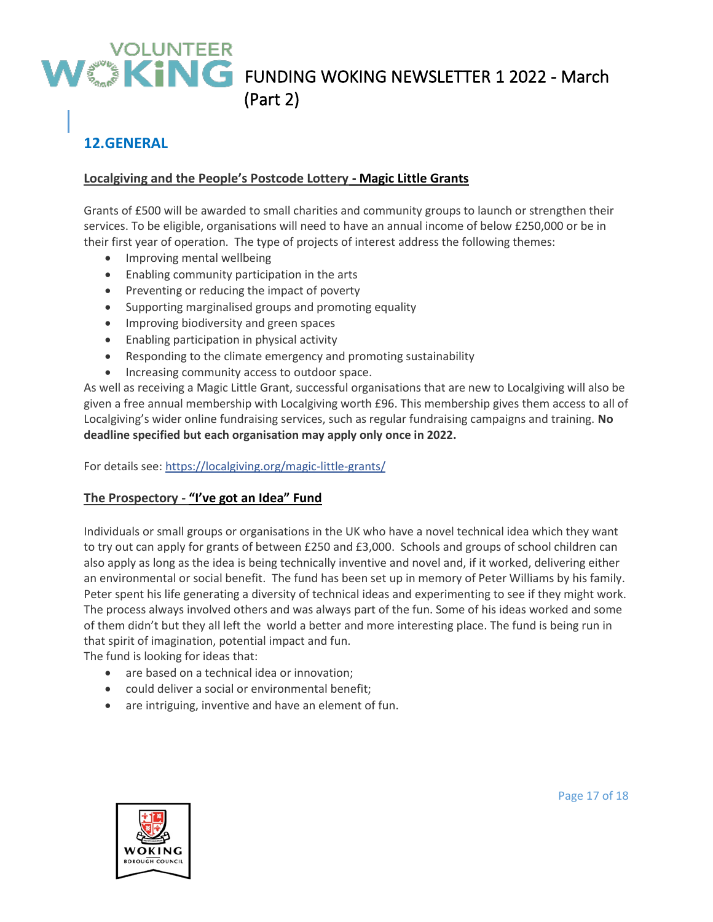## **12.GENERAL**

### **Localgiving and the People's Postcode Lottery - Magic Little Grants**

Grants of £500 will be awarded to small charities and community groups to launch or strengthen their services. To be eligible, organisations will need to have an annual income of below £250,000 or be in their first year of operation. The type of projects of interest address the following themes:

- Improving mental wellbeing
- Enabling community participation in the arts
- Preventing or reducing the impact of poverty
- Supporting marginalised groups and promoting equality
- Improving biodiversity and green spaces
- Enabling participation in physical activity
- Responding to the climate emergency and promoting sustainability
- Increasing community access to outdoor space.

As well as receiving a Magic Little Grant, successful organisations that are new to Localgiving will also be given a free annual membership with Localgiving worth £96. This membership gives them access to all of Localgiving's wider online fundraising services, such as regular fundraising campaigns and training. **No deadline specified but each organisation may apply only once in 2022.**

For details see:<https://localgiving.org/magic-little-grants/>

### **The Prospectory - "I've got an Idea" Fund**

Individuals or small groups or organisations in the UK who have a novel technical idea which they want to try out can apply for grants of between £250 and £3,000. Schools and groups of school children can also apply as long as the idea is being technically inventive and novel and, if it worked, delivering either an environmental or social benefit. The fund has been set up in memory of Peter Williams by his family. Peter spent his life generating a diversity of technical ideas and experimenting to see if they might work. The process always involved others and was always part of the fun. Some of his ideas worked and some of them didn't but they all left the world a better and more interesting place. The fund is being run in that spirit of imagination, potential impact and fun.

The fund is looking for ideas that:

- are based on a technical idea or innovation;
- could deliver a social or environmental benefit;
- are intriguing, inventive and have an element of fun.



Page 17 of 18